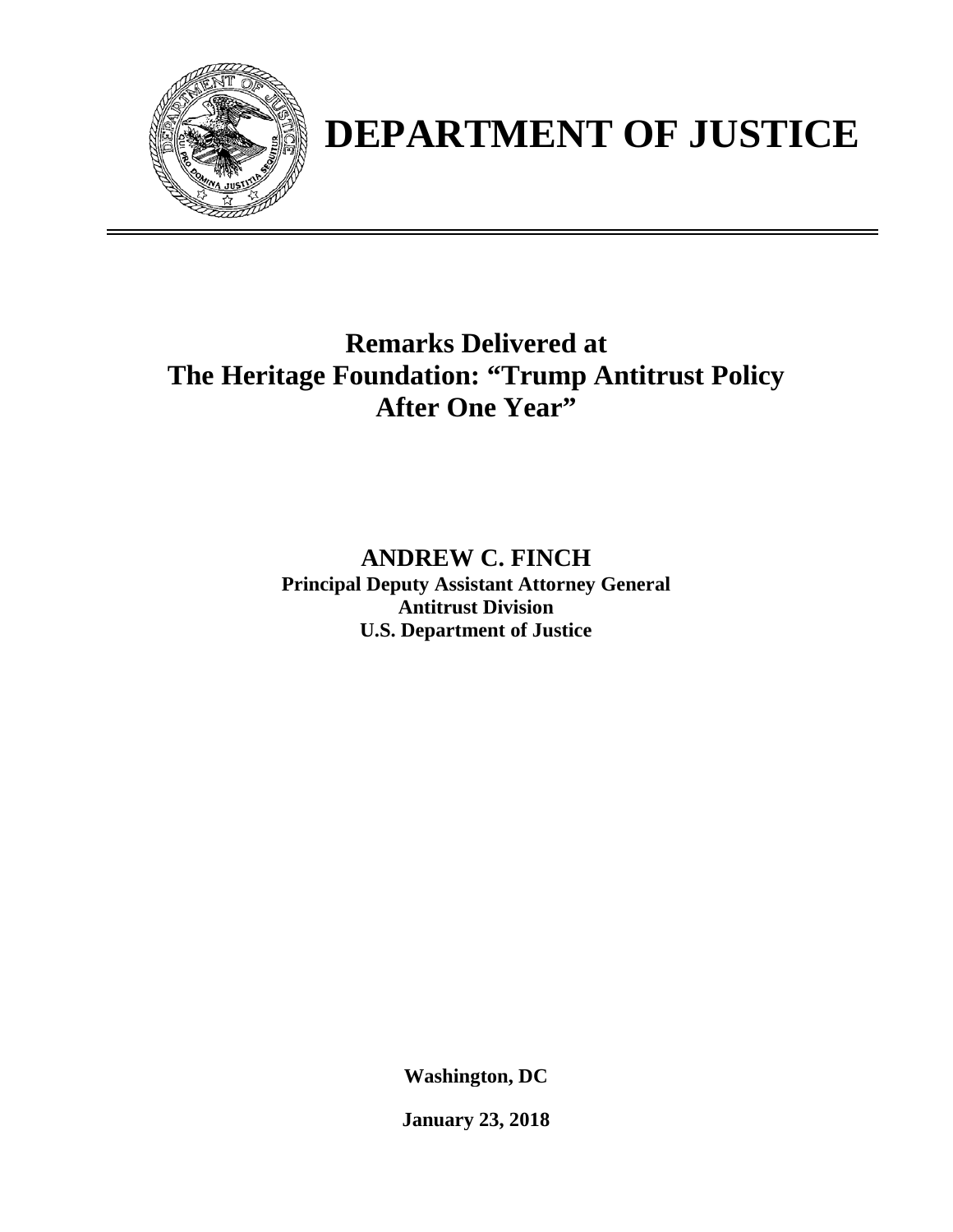

# **DEPARTMENT OF JUSTICE**

## **Remarks Delivered at The Heritage Foundation: "Trump Antitrust Policy After One Year"**

### **ANDREW C. FINCH Principal Deputy Assistant Attorney General Antitrust Division U.S. Department of Justice**

**Washington, DC**

**January 23, 2018**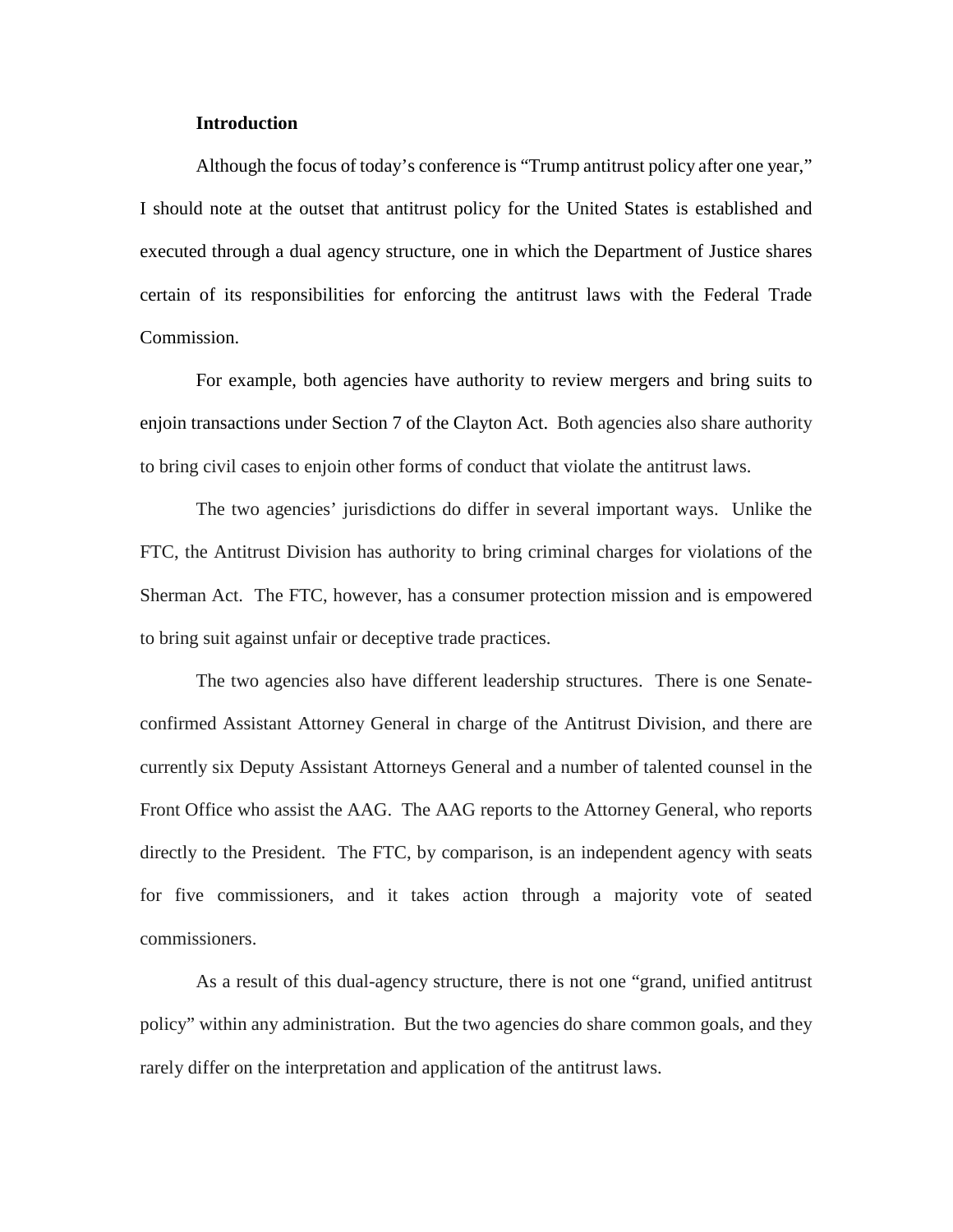#### **Introduction**

Although the focus of today's conference is "Trump antitrust policy after one year," I should note at the outset that antitrust policy for the United States is established and executed through a dual agency structure, one in which the Department of Justice shares certain of its responsibilities for enforcing the antitrust laws with the Federal Trade Commission.

For example, both agencies have authority to review mergers and bring suits to enjoin transactions under Section 7 of the Clayton Act. Both agencies also share authority to bring civil cases to enjoin other forms of conduct that violate the antitrust laws.

The two agencies' jurisdictions do differ in several important ways. Unlike the FTC, the Antitrust Division has authority to bring criminal charges for violations of the Sherman Act. The FTC, however, has a consumer protection mission and is empowered to bring suit against unfair or deceptive trade practices.

The two agencies also have different leadership structures. There is one Senateconfirmed Assistant Attorney General in charge of the Antitrust Division, and there are currently six Deputy Assistant Attorneys General and a number of talented counsel in the Front Office who assist the AAG. The AAG reports to the Attorney General, who reports directly to the President. The FTC, by comparison, is an independent agency with seats for five commissioners, and it takes action through a majority vote of seated commissioners.

As a result of this dual-agency structure, there is not one "grand, unified antitrust policy" within any administration. But the two agencies do share common goals, and they rarely differ on the interpretation and application of the antitrust laws.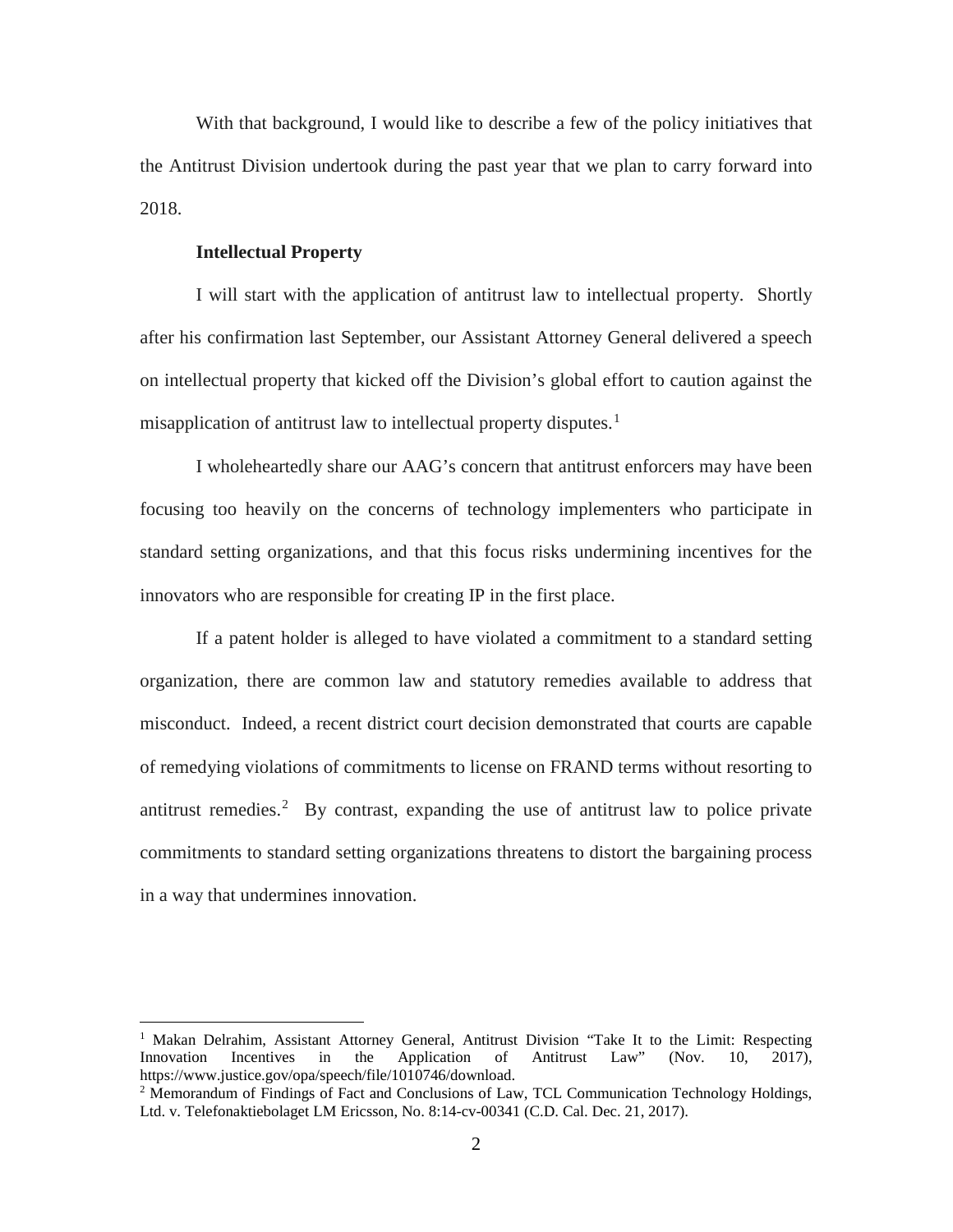With that background, I would like to describe a few of the policy initiatives that the Antitrust Division undertook during the past year that we plan to carry forward into 2018.

#### **Intellectual Property**

 $\overline{\phantom{a}}$ 

I will start with the application of antitrust law to intellectual property. Shortly after his confirmation last September, our Assistant Attorney General delivered a speech on intellectual property that kicked off the Division's global effort to caution against the misapplication of antitrust law to intellectual property disputes.<sup>[1](#page-2-0)</sup>

I wholeheartedly share our AAG's concern that antitrust enforcers may have been focusing too heavily on the concerns of technology implementers who participate in standard setting organizations, and that this focus risks undermining incentives for the innovators who are responsible for creating IP in the first place.

If a patent holder is alleged to have violated a commitment to a standard setting organization, there are common law and statutory remedies available to address that misconduct. Indeed, a recent district court decision demonstrated that courts are capable of remedying violations of commitments to license on FRAND terms without resorting to antitrust remedies.<sup>[2](#page-2-1)</sup> By contrast, expanding the use of antitrust law to police private commitments to standard setting organizations threatens to distort the bargaining process in a way that undermines innovation.

<span id="page-2-0"></span><sup>&</sup>lt;sup>1</sup> Makan Delrahim, Assistant Attorney General, Antitrust Division "Take It to the Limit: Respecting Innovation Incentives in the Application of Antitrust Law" (Nov. 10, 2017), https://www.justice.gov/opa/speech/file/1010746/download.

<span id="page-2-1"></span><sup>&</sup>lt;sup>2</sup> Memorandum of Findings of Fact and Conclusions of Law, TCL Communication Technology Holdings, Ltd. v. Telefonaktiebolaget LM Ericsson, No. 8:14-cv-00341 (C.D. Cal. Dec. 21, 2017).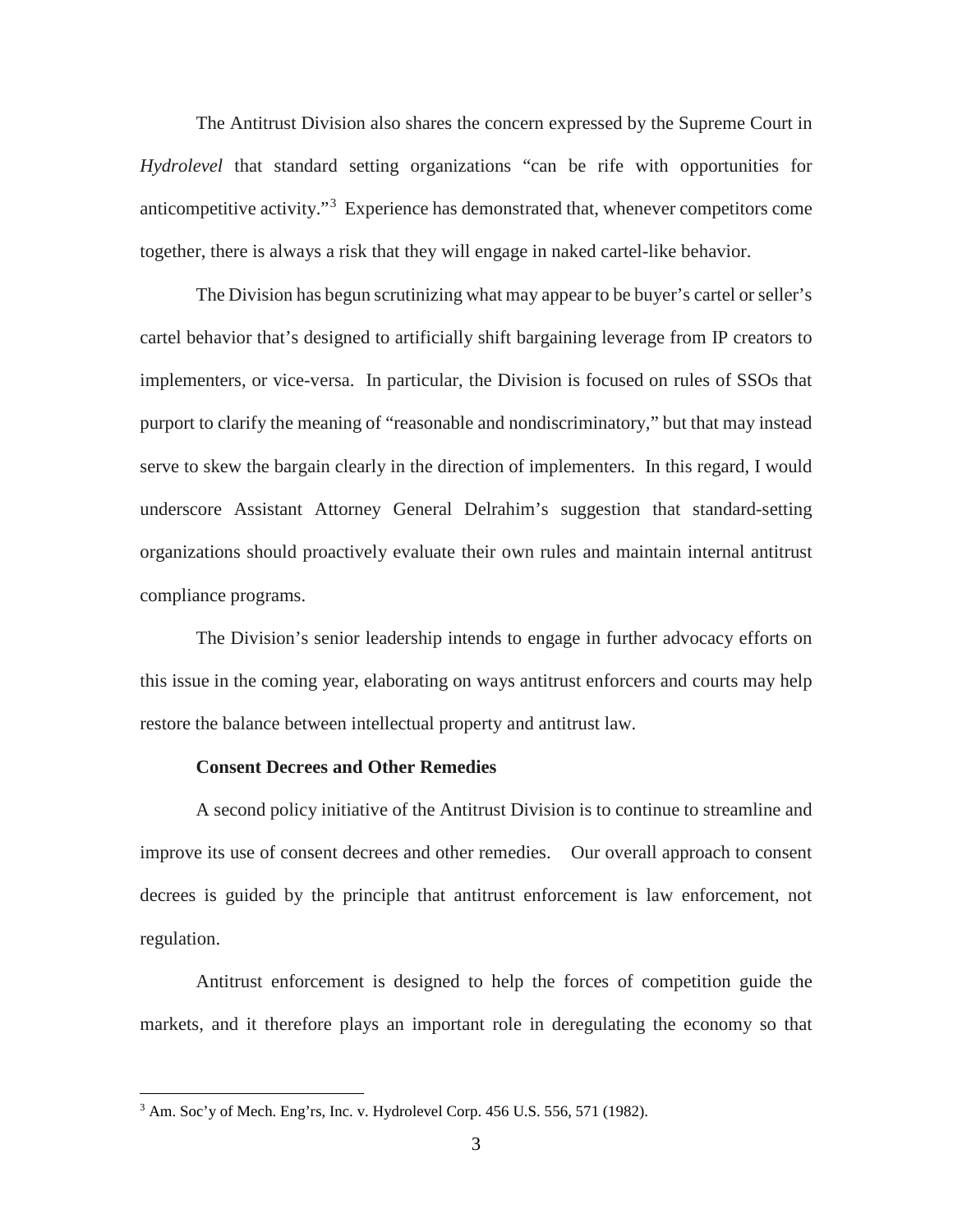The Antitrust Division also shares the concern expressed by the Supreme Court in *Hydrolevel* that standard setting organizations "can be rife with opportunities for anticompetitive activity."[3](#page-3-0) Experience has demonstrated that, whenever competitors come together, there is always a risk that they will engage in naked cartel-like behavior.

The Division has begun scrutinizing what may appear to be buyer's cartel or seller's cartel behavior that's designed to artificially shift bargaining leverage from IP creators to implementers, or vice-versa. In particular, the Division is focused on rules of SSOs that purport to clarify the meaning of "reasonable and nondiscriminatory," but that may instead serve to skew the bargain clearly in the direction of implementers. In this regard, I would underscore Assistant Attorney General Delrahim's suggestion that standard-setting organizations should proactively evaluate their own rules and maintain internal antitrust compliance programs.

The Division's senior leadership intends to engage in further advocacy efforts on this issue in the coming year, elaborating on ways antitrust enforcers and courts may help restore the balance between intellectual property and antitrust law.

#### **Consent Decrees and Other Remedies**

A second policy initiative of the Antitrust Division is to continue to streamline and improve its use of consent decrees and other remedies. Our overall approach to consent decrees is guided by the principle that antitrust enforcement is law enforcement, not regulation.

Antitrust enforcement is designed to help the forces of competition guide the markets, and it therefore plays an important role in deregulating the economy so that

l

<span id="page-3-0"></span><sup>&</sup>lt;sup>3</sup> Am. Soc'y of Mech. Eng'rs, Inc. v. Hydrolevel Corp. 456 U.S. 556, 571 (1982).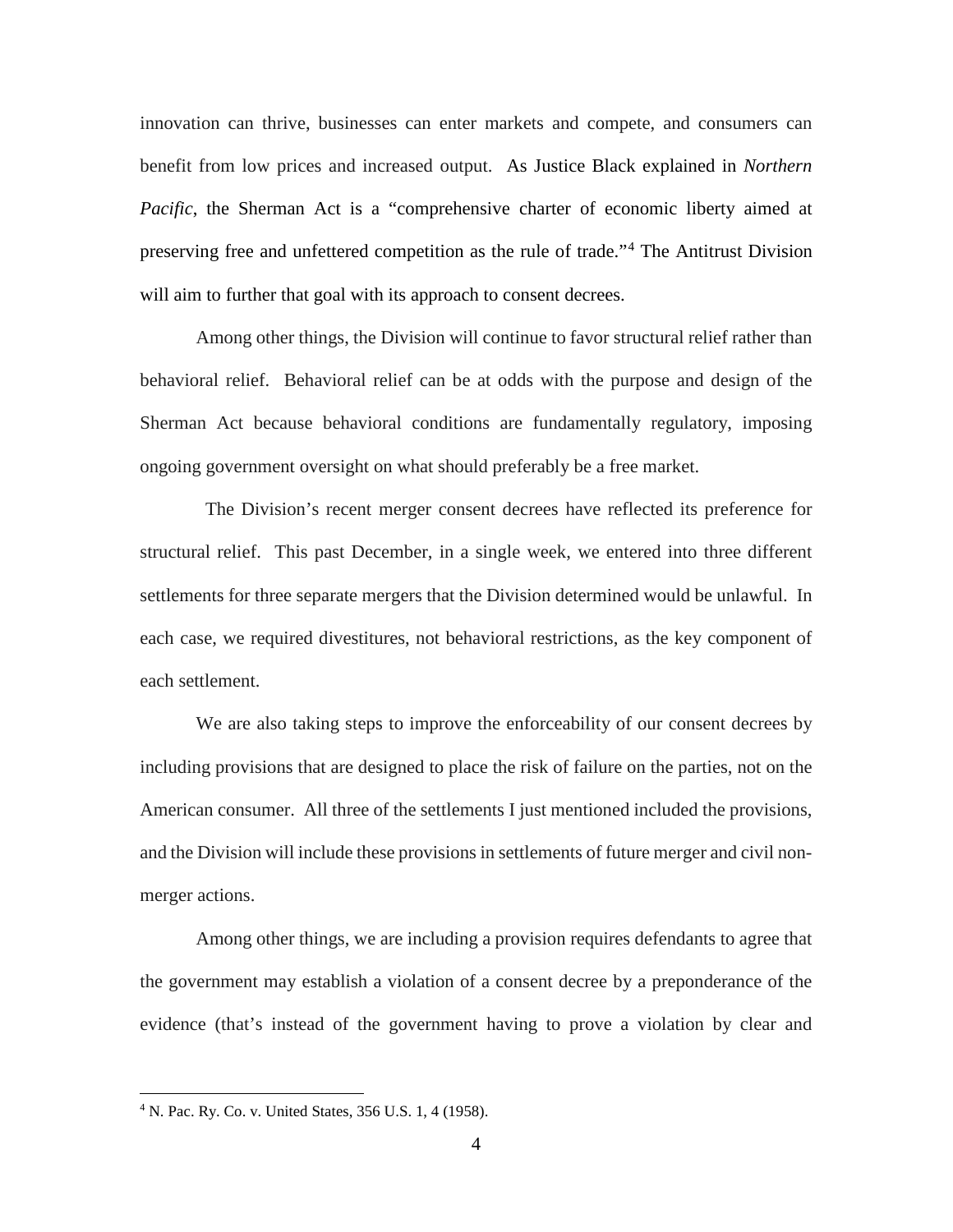innovation can thrive, businesses can enter markets and compete, and consumers can benefit from low prices and increased output. As Justice Black explained in *Northern Pacific*, the Sherman Act is a "comprehensive charter of economic liberty aimed at preserving free and unfettered competition as the rule of trade."[4](#page-4-0) The Antitrust Division will aim to further that goal with its approach to consent decrees.

Among other things, the Division will continue to favor structural relief rather than behavioral relief. Behavioral relief can be at odds with the purpose and design of the Sherman Act because behavioral conditions are fundamentally regulatory, imposing ongoing government oversight on what should preferably be a free market.

 The Division's recent merger consent decrees have reflected its preference for structural relief. This past December, in a single week, we entered into three different settlements for three separate mergers that the Division determined would be unlawful. In each case, we required divestitures, not behavioral restrictions, as the key component of each settlement.

We are also taking steps to improve the enforceability of our consent decrees by including provisions that are designed to place the risk of failure on the parties, not on the American consumer. All three of the settlements I just mentioned included the provisions, and the Division will include these provisions in settlements of future merger and civil nonmerger actions.

Among other things, we are including a provision requires defendants to agree that the government may establish a violation of a consent decree by a preponderance of the evidence (that's instead of the government having to prove a violation by clear and

l

<span id="page-4-0"></span><sup>4</sup> N. Pac. Ry. Co. v. United States, 356 U.S. 1, 4 (1958).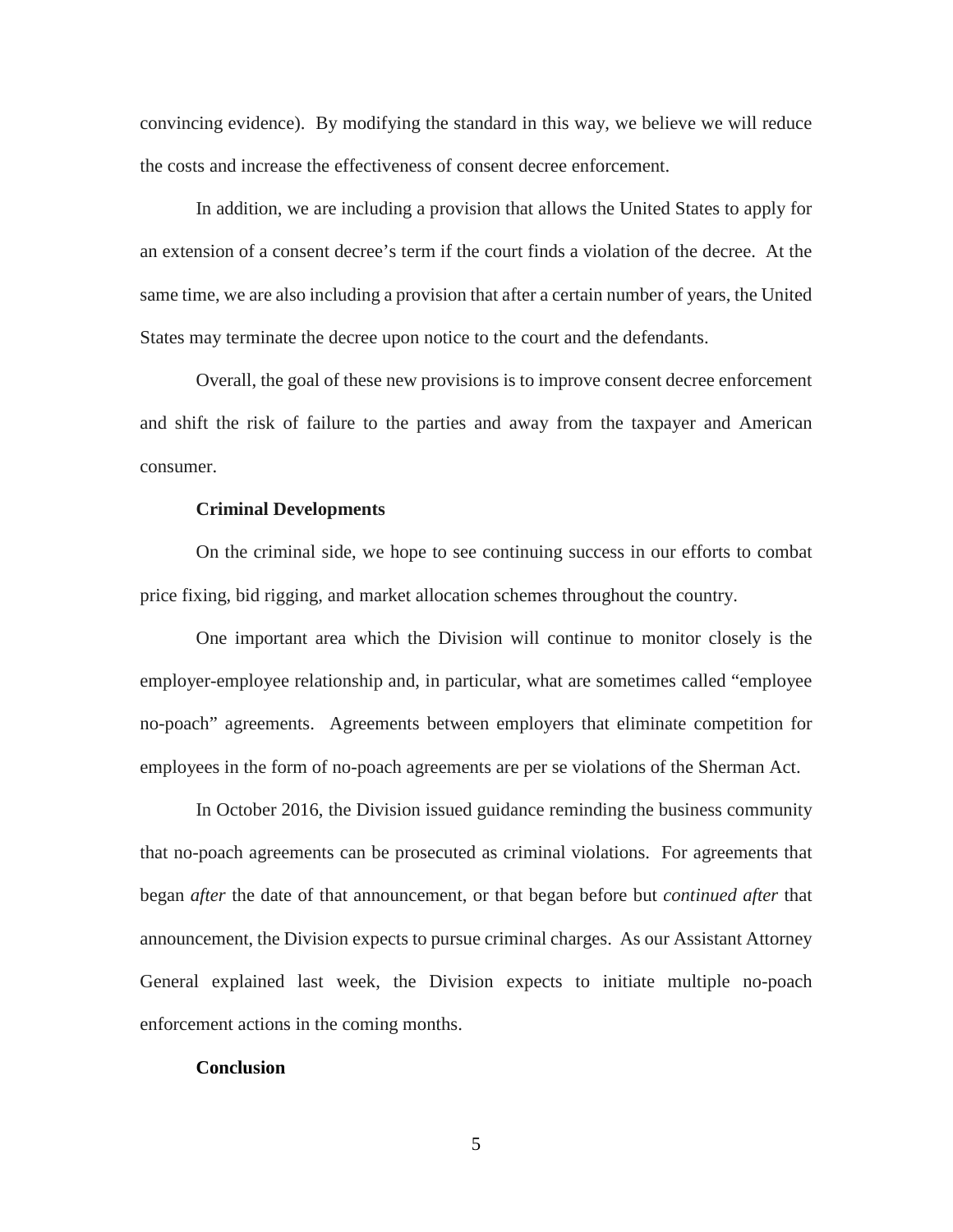convincing evidence). By modifying the standard in this way, we believe we will reduce the costs and increase the effectiveness of consent decree enforcement.

In addition, we are including a provision that allows the United States to apply for an extension of a consent decree's term if the court finds a violation of the decree. At the same time, we are also including a provision that after a certain number of years, the United States may terminate the decree upon notice to the court and the defendants.

Overall, the goal of these new provisions is to improve consent decree enforcement and shift the risk of failure to the parties and away from the taxpayer and American consumer.

#### **Criminal Developments**

On the criminal side, we hope to see continuing success in our efforts to combat price fixing, bid rigging, and market allocation schemes throughout the country.

One important area which the Division will continue to monitor closely is the employer-employee relationship and, in particular, what are sometimes called "employee no-poach" agreements. Agreements between employers that eliminate competition for employees in the form of no-poach agreements are per se violations of the Sherman Act.

In October 2016, the Division issued guidance reminding the business community that no-poach agreements can be prosecuted as criminal violations. For agreements that began *after* the date of that announcement, or that began before but *continued after* that announcement, the Division expects to pursue criminal charges. As our Assistant Attorney General explained last week, the Division expects to initiate multiple no-poach enforcement actions in the coming months.

#### **Conclusion**